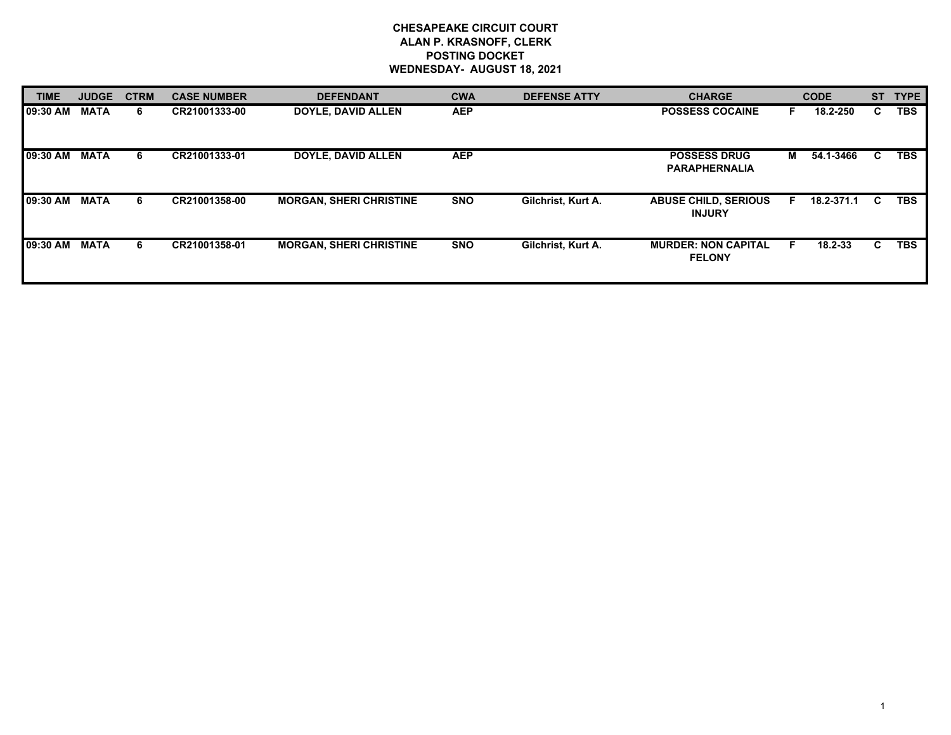## **CHESAPEAKE CIRCUIT COURT ALAN P. KRASNOFF, CLERK POSTING DOCKET WEDNESDAY- AUGUST 18, 2021**

| <b>TIME</b> | <b>JUDGE</b> | <b>CTRM</b> | <b>CASE NUMBER</b> | <b>DEFENDANT</b>               | <b>CWA</b> | <b>DEFENSE ATTY</b> | <b>CHARGE</b>                                |   | <b>CODE</b> |    | ST TYPE    |
|-------------|--------------|-------------|--------------------|--------------------------------|------------|---------------------|----------------------------------------------|---|-------------|----|------------|
| 09:30 AM    | <b>MATA</b>  | 6           | CR21001333-00      | <b>DOYLE, DAVID ALLEN</b>      | <b>AEP</b> |                     | <b>POSSESS COCAINE</b>                       |   | 18.2-250    | C  | <b>TBS</b> |
| 109:30 AM   | <b>MATA</b>  | 6           | CR21001333-01      | <b>DOYLE, DAVID ALLEN</b>      | <b>AEP</b> |                     | <b>POSSESS DRUG</b><br><b>PARAPHERNALIA</b>  | м | 54.1-3466   | C  | <b>TBS</b> |
| 09:30 AM    | <b>MATA</b>  | 6           | CR21001358-00      | <b>MORGAN, SHERI CHRISTINE</b> | <b>SNO</b> | Gilchrist, Kurt A.  | <b>ABUSE CHILD, SERIOUS</b><br><b>INJURY</b> | Е | 18.2-371.1  | C  | <b>TBS</b> |
| 109:30 AM   | MATA         | 6           | CR21001358-01      | <b>MORGAN, SHERI CHRISTINE</b> | <b>SNO</b> | Gilchrist, Kurt A.  | <b>MURDER: NON CAPITAL</b><br><b>FELONY</b>  |   | $18.2 - 33$ | C. | <b>TBS</b> |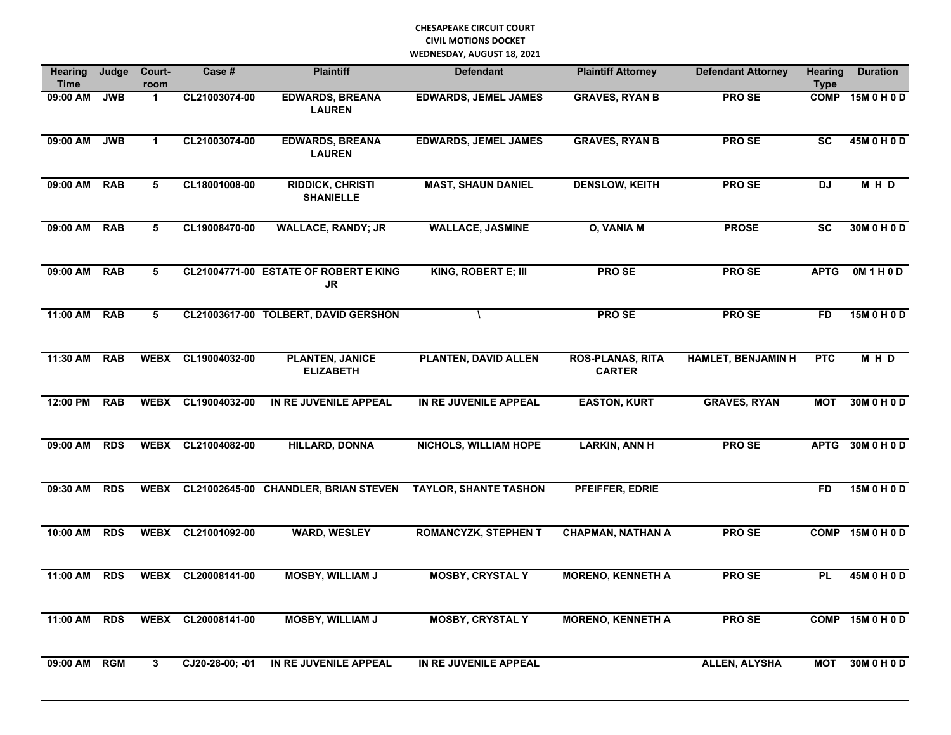## **CHESAPEAKE CIRCUIT COURT CIVIL MOTIONS DOCKET WEDNESDAY, AUGUST 18, 2021**

| <b>Hearing</b><br><b>Time</b> | Judge      | Court-<br>room          | Case#              | <b>Plaintiff</b>                             | <b>Defendant</b>             | <b>Plaintiff Attorney</b>                | <b>Defendant Attorney</b> | <b>Hearing</b><br><b>Type</b> | <b>Duration</b>  |
|-------------------------------|------------|-------------------------|--------------------|----------------------------------------------|------------------------------|------------------------------------------|---------------------------|-------------------------------|------------------|
| 09:00 AM                      | <b>JWB</b> | $\mathbf{1}$            | CL21003074-00      | <b>EDWARDS, BREANA</b><br><b>LAUREN</b>      | <b>EDWARDS, JEMEL JAMES</b>  | <b>GRAVES, RYAN B</b>                    | <b>PROSE</b>              | <b>COMP</b>                   | 15M 0 H 0 D      |
| 09:00 AM                      | <b>JWB</b> | $\mathbf{1}$            | CL21003074-00      | <b>EDWARDS, BREANA</b><br><b>LAUREN</b>      | <b>EDWARDS, JEMEL JAMES</b>  | <b>GRAVES, RYAN B</b>                    | <b>PROSE</b>              | <b>SC</b>                     | 45M 0 H 0 D      |
| 09:00 AM RAB                  |            | 5                       | CL18001008-00      | <b>RIDDICK, CHRISTI</b><br><b>SHANIELLE</b>  | <b>MAST, SHAUN DANIEL</b>    | <b>DENSLOW, KEITH</b>                    | <b>PROSE</b>              | $\overline{D}$                | M H D            |
| 09:00 AM                      | <b>RAB</b> | 5                       | CL19008470-00      | <b>WALLACE, RANDY; JR</b>                    | <b>WALLACE, JASMINE</b>      | <b>O, VANIA M</b>                        | <b>PROSE</b>              | <b>SC</b>                     | 30M 0 H 0 D      |
| 09:00 AM RAB                  |            | 5                       |                    | CL21004771-00 ESTATE OF ROBERT E KING<br>JR. | KING, ROBERT E; III          | <b>PROSE</b>                             | <b>PROSE</b>              | <b>APTG</b>                   | 0M1H0D           |
| 11:00 AM                      | <b>RAB</b> | $\overline{\mathbf{5}}$ |                    | CL21003617-00 TOLBERT, DAVID GERSHON         | $\lambda$                    | <b>PROSE</b>                             | <b>PROSE</b>              | FD                            | 15M 0 H 0 D      |
| 11:30 AM                      | <b>RAB</b> | <b>WEBX</b>             | CL19004032-00      | <b>PLANTEN, JANICE</b><br><b>ELIZABETH</b>   | <b>PLANTEN, DAVID ALLEN</b>  | <b>ROS-PLANAS, RITA</b><br><b>CARTER</b> | <b>HAMLET, BENJAMIN H</b> | <b>PTC</b>                    | M H D            |
| 12:00 PM                      | <b>RAB</b> |                         | WEBX CL19004032-00 | IN RE JUVENILE APPEAL                        | IN RE JUVENILE APPEAL        | <b>EASTON, KURT</b>                      | <b>GRAVES, RYAN</b>       | <b>MOT</b>                    | 30M 0 H 0 D      |
| 09:00 AM                      | <b>RDS</b> |                         | WEBX CL21004082-00 | <b>HILLARD, DONNA</b>                        | <b>NICHOLS, WILLIAM HOPE</b> | <b>LARKIN, ANN H</b>                     | <b>PROSE</b>              |                               | APTG 30M 0 H 0 D |
| 09:30 AM                      | <b>RDS</b> | <b>WEBX</b>             |                    | CL21002645-00 CHANDLER, BRIAN STEVEN         | <b>TAYLOR, SHANTE TASHON</b> | PFEIFFER, EDRIE                          |                           | <b>FD</b>                     | 15M 0 H 0 D      |
| 10:00 AM                      | <b>RDS</b> |                         | WEBX CL21001092-00 | <b>WARD, WESLEY</b>                          | <b>ROMANCYZK, STEPHEN T</b>  | <b>CHAPMAN, NATHAN A</b>                 | <b>PROSE</b>              |                               | COMP 15M 0 H 0 D |
| 11:00 AM                      | <b>RDS</b> | <b>WEBX</b>             | CL20008141-00      | <b>MOSBY, WILLIAM J</b>                      | <b>MOSBY, CRYSTAL Y</b>      | <b>MORENO, KENNETH A</b>                 | <b>PROSE</b>              | <b>PL</b>                     | 45M 0 H 0 D      |
| 11:00 AM                      | <b>RDS</b> |                         | WEBX CL20008141-00 | <b>MOSBY, WILLIAM J</b>                      | <b>MOSBY, CRYSTAL Y</b>      | <b>MORENO, KENNETH A</b>                 | <b>PROSE</b>              |                               | COMP 15M 0 H 0 D |
| 09:00 AM                      | <b>RGM</b> | 3                       | CJ20-28-00; -01    | IN RE JUVENILE APPEAL                        | IN RE JUVENILE APPEAL        |                                          | ALLEN, ALYSHA             | <b>MOT</b>                    | 30M 0 H 0 D      |